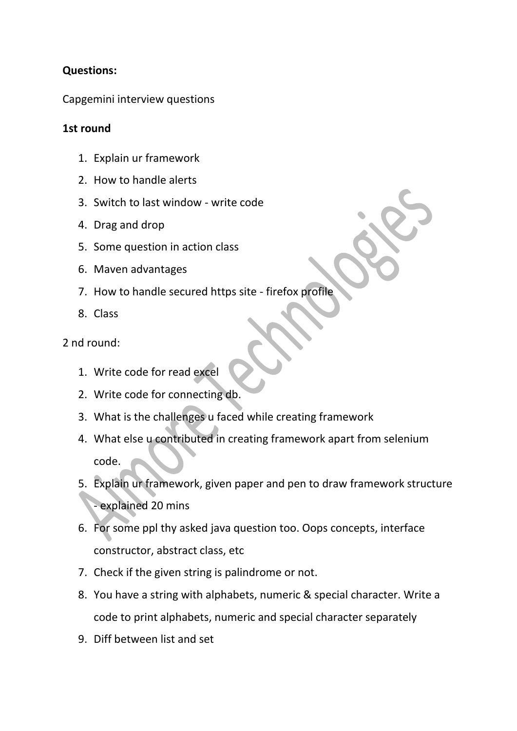## **Questions:**

Capgemini interview questions

## **1st round**

- 1. Explain ur framework
- 2. How to handle alerts
- 3. Switch to last window write code
- 4. Drag and drop
- 5. Some question in action class
- 6. Maven advantages
- 7. How to handle secured https site firefox profile
- 8. Class

2 nd round:

- 1. Write code for read excel
- 2. Write code for connecting db.
- 3. What is the challenges u faced while creating framework
- 4. What else u contributed in creating framework apart from selenium code.
- 5. Explain ur framework, given paper and pen to draw framework structure - explained 20 mins
- 6. For some ppl thy asked java question too. Oops concepts, interface constructor, abstract class, etc
- 7. Check if the given string is palindrome or not.
- 8. You have a string with alphabets, numeric & special character. Write a code to print alphabets, numeric and special character separately
- 9. Diff between list and set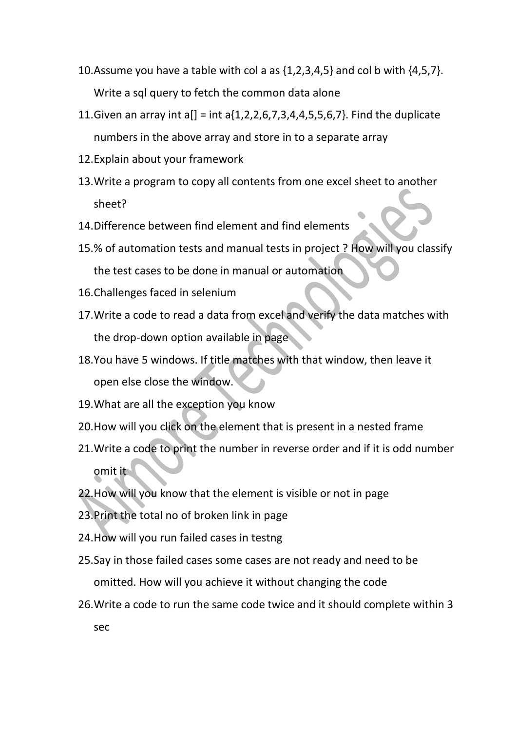- 10. Assume you have a table with col a as  $\{1, 2, 3, 4, 5\}$  and col b with  $\{4, 5, 7\}$ . Write a sql query to fetch the common data alone
- 11. Given an array int  $a[] = int a[1, 2, 2, 6, 7, 3, 4, 4, 5, 5, 6, 7]$ . Find the duplicate numbers in the above array and store in to a separate array
- 12.Explain about your framework
- 13.Write a program to copy all contents from one excel sheet to another sheet?
- 14.Difference between find element and find elements
- 15.% of automation tests and manual tests in project ? How will you classify the test cases to be done in manual or automation
- 16.Challenges faced in selenium
- 17.Write a code to read a data from excel and verify the data matches with the drop-down option available in page
- 18.You have 5 windows. If title matches with that window, then leave it open else close the window.
- 19.What are all the exception you know
- 20.How will you click on the element that is present in a nested frame
- 21.Write a code to print the number in reverse order and if it is odd number omit it
- 22.How will you know that the element is visible or not in page
- 23.Print the total no of broken link in page
- 24.How will you run failed cases in testng
- 25.Say in those failed cases some cases are not ready and need to be omitted. How will you achieve it without changing the code
- 26.Write a code to run the same code twice and it should complete within 3 sec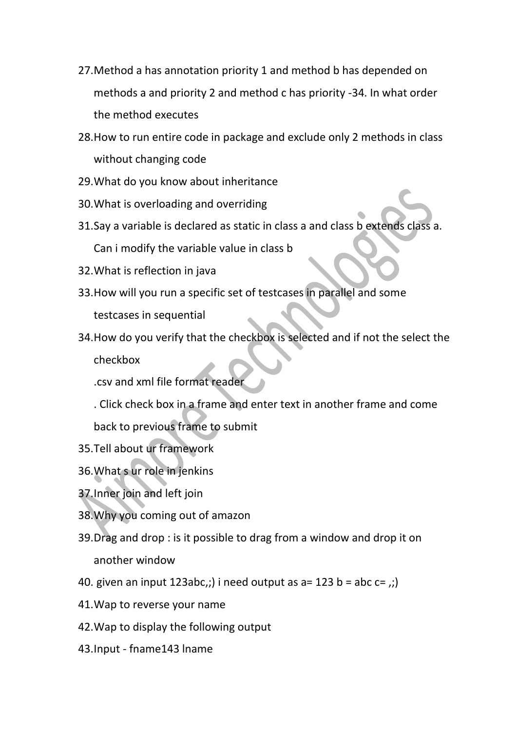- 27.Method a has annotation priority 1 and method b has depended on methods a and priority 2 and method c has priority -34. In what order the method executes
- 28.How to run entire code in package and exclude only 2 methods in class without changing code
- 29.What do you know about inheritance
- 30.What is overloading and overriding
- 31.Say a variable is declared as static in class a and class b extends class a. Can i modify the variable value in class b
- 32.What is reflection in java
- 33.How will you run a specific set of testcases in parallel and some testcases in sequential
- 34.How do you verify that the checkbox is selected and if not the select the checkbox

.csv and xml file format reader

- . Click check box in a frame and enter text in another frame and come back to previous frame to submit
- 35.Tell about ur framework
- 36.What s ur role in jenkins
- 37.Inner join and left join
- 38.Why you coming out of amazon
- 39.Drag and drop : is it possible to drag from a window and drop it on another window
- 40. given an input 123abc,;) i need output as  $a=123 b = abc c =$ ;)
- 41.Wap to reverse your name
- 42.Wap to display the following output
- 43.Input fname143 lname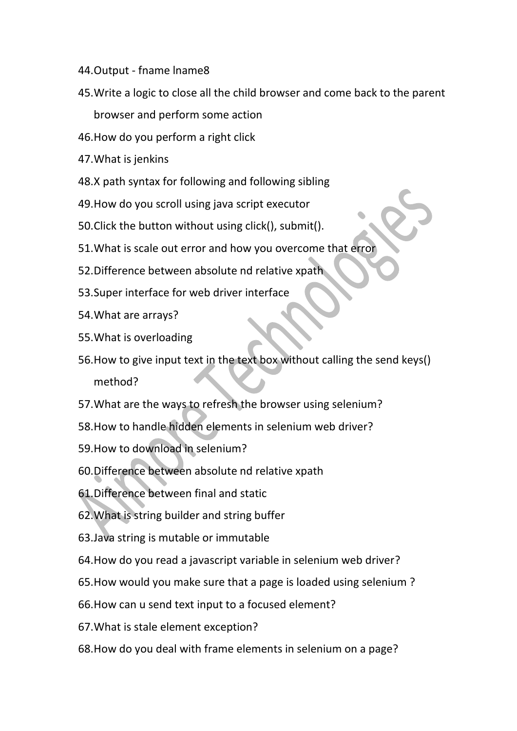- 44.Output fname lname8
- 45.Write a logic to close all the child browser and come back to the parent browser and perform some action
- 46.How do you perform a right click
- 47.What is jenkins
- 48.X path syntax for following and following sibling
- 49.How do you scroll using java script executor
- 50.Click the button without using click(), submit().
- 51.What is scale out error and how you overcome that error
- 52.Difference between absolute nd relative xpath
- 53.Super interface for web driver interface
- 54.What are arrays?
- 55.What is overloading
- 56.How to give input text in the text box without calling the send keys() method?
- 57.What are the ways to refresh the browser using selenium?
- 58.How to handle hidden elements in selenium web driver?
- 59.How to download in selenium?
- 60.Difference between absolute nd relative xpath
- 61.Difference between final and static
- 62.What is string builder and string buffer
- 63.Java string is mutable or immutable
- 64.How do you read a javascript variable in selenium web driver?
- 65.How would you make sure that a page is loaded using selenium ?
- 66.How can u send text input to a focused element?
- 67.What is stale element exception?
- 68.How do you deal with frame elements in selenium on a page?